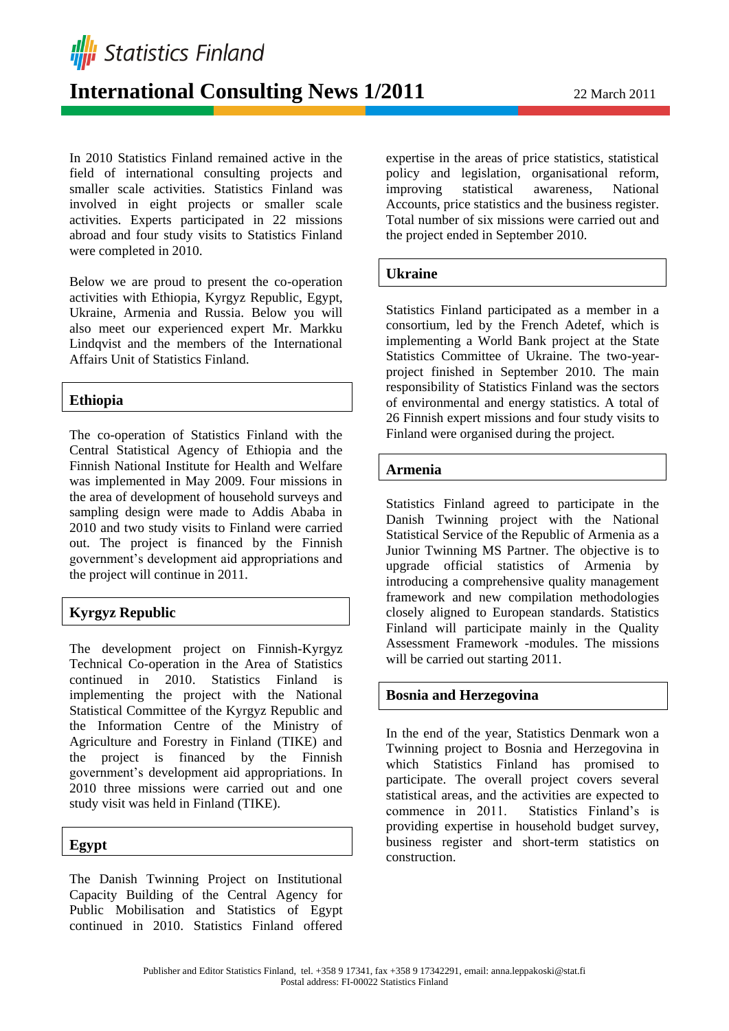**Illi** Statistics Finland

# **International Consulting News 1/2011** 22 March 2011

In 2010 Statistics Finland remained active in the field of international consulting projects and smaller scale activities. Statistics Finland was involved in eight projects or smaller scale activities. Experts participated in 22 missions abroad and four study visits to Statistics Finland were completed in 2010.

Below we are proud to present the co-operation activities with Ethiopia, Kyrgyz Republic, Egypt, Ukraine, Armenia and Russia. Below you will also meet our experienced expert Mr. Markku Lindqvist and the members of the International Affairs Unit of Statistics Finland.

## **Ethiopia**

The co-operation of Statistics Finland with the Central Statistical Agency of Ethiopia and the Finnish National Institute for Health and Welfare was implemented in May 2009. Four missions in the area of development of household surveys and sampling design were made to Addis Ababa in 2010 and two study visits to Finland were carried out. The project is financed by the Finnish government's development aid appropriations and the project will continue in 2011.

# **Kyrgyz Republic**

The development project on Finnish-Kyrgyz Technical Co-operation in the Area of Statistics continued in 2010. Statistics Finland is implementing the project with the National Statistical Committee of the Kyrgyz Republic and the Information Centre of the Ministry of Agriculture and Forestry in Finland (TIKE) and the project is financed by the Finnish government's development aid appropriations. In 2010 three missions were carried out and one study visit was held in Finland (TIKE).

# **Egypt**

The Danish Twinning Project on Institutional Capacity Building of the Central Agency for Public Mobilisation and Statistics of Egypt continued in 2010. Statistics Finland offered

expertise in the areas of price statistics, statistical policy and legislation, organisational reform, improving statistical awareness, National Accounts, price statistics and the business register. Total number of six missions were carried out and the project ended in September 2010.

## **Ukraine**

Statistics Finland participated as a member in a consortium, led by the French Adetef, which is implementing a World Bank project at the State Statistics Committee of Ukraine. The two-yearproject finished in September 2010. The main responsibility of Statistics Finland was the sectors of environmental and energy statistics. A total of 26 Finnish expert missions and four study visits to Finland were organised during the project.

## **Armenia**

Statistics Finland agreed to participate in the Danish Twinning project with the National Statistical Service of the Republic of Armenia as a Junior Twinning MS Partner. The objective is to upgrade official statistics of Armenia by introducing a comprehensive quality management framework and new compilation methodologies closely aligned to European standards. Statistics Finland will participate mainly in the Quality Assessment Framework -modules. The missions will be carried out starting 2011.

## **Bosnia and Herzegovina**

In the end of the year, Statistics Denmark won a Twinning project to Bosnia and Herzegovina in which Statistics Finland has promised to participate. The overall project covers several statistical areas, and the activities are expected to commence in 2011. Statistics Finland's is providing expertise in household budget survey, business register and short-term statistics on construction.